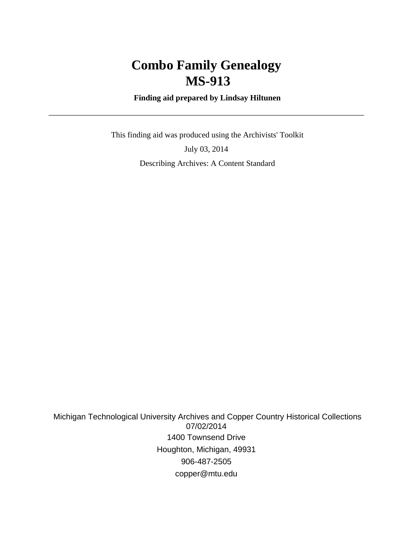# **Combo Family Genealogy MS-913**

 **Finding aid prepared by Lindsay Hiltunen**

 This finding aid was produced using the Archivists' Toolkit July 03, 2014 Describing Archives: A Content Standard

 Michigan Technological University Archives and Copper Country Historical Collections 07/02/2014 1400 Townsend Drive Houghton, Michigan, 49931 906-487-2505 copper@mtu.edu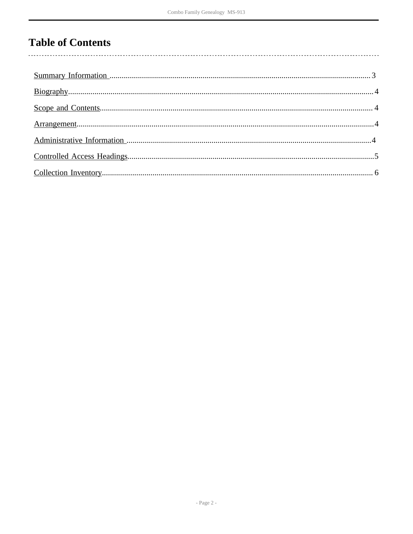# **Table of Contents**

 $\overline{\phantom{a}}$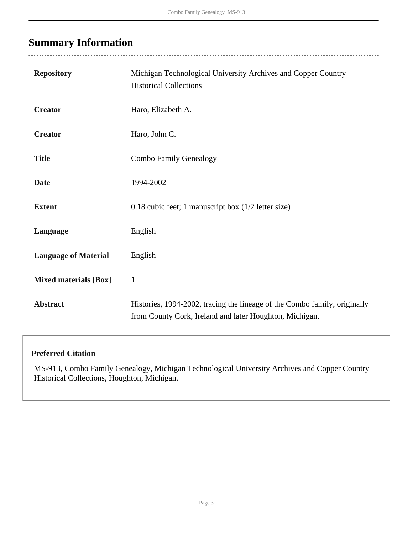# <span id="page-2-0"></span>**Summary Information**

 $\overline{a}$ 

| <b>Repository</b>            | Michigan Technological University Archives and Copper Country<br><b>Historical Collections</b>                                       |
|------------------------------|--------------------------------------------------------------------------------------------------------------------------------------|
| <b>Creator</b>               | Haro, Elizabeth A.                                                                                                                   |
| <b>Creator</b>               | Haro, John C.                                                                                                                        |
| <b>Title</b>                 | <b>Combo Family Genealogy</b>                                                                                                        |
| <b>Date</b>                  | 1994-2002                                                                                                                            |
| <b>Extent</b>                | 0.18 cubic feet; 1 manuscript box $(1/2$ letter size)                                                                                |
| Language                     | English                                                                                                                              |
| <b>Language of Material</b>  | English                                                                                                                              |
| <b>Mixed materials [Box]</b> | $\mathbf{1}$                                                                                                                         |
| <b>Abstract</b>              | Histories, 1994-2002, tracing the lineage of the Combo family, originally<br>from County Cork, Ireland and later Houghton, Michigan. |

### **Preferred Citation**

MS-913, Combo Family Genealogy, Michigan Technological University Archives and Copper Country Historical Collections, Houghton, Michigan.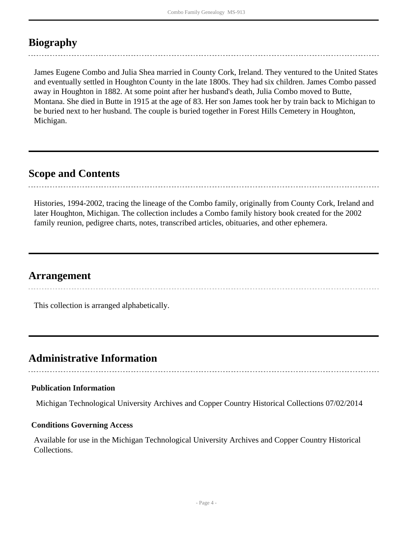# <span id="page-3-0"></span>**Biography**

James Eugene Combo and Julia Shea married in County Cork, Ireland. They ventured to the United States and eventually settled in Houghton County in the late 1800s. They had six children. James Combo passed away in Houghton in 1882. At some point after her husband's death, Julia Combo moved to Butte, Montana. She died in Butte in 1915 at the age of 83. Her son James took her by train back to Michigan to be buried next to her husband. The couple is buried together in Forest Hills Cemetery in Houghton, Michigan.

## <span id="page-3-1"></span>**Scope and Contents**

Histories, 1994-2002, tracing the lineage of the Combo family, originally from County Cork, Ireland and later Houghton, Michigan. The collection includes a Combo family history book created for the 2002 family reunion, pedigree charts, notes, transcribed articles, obituaries, and other ephemera.

### <span id="page-3-2"></span>**Arrangement**

This collection is arranged alphabetically.

### <span id="page-3-3"></span>**Administrative Information**

#### **Publication Information**

Michigan Technological University Archives and Copper Country Historical Collections 07/02/2014

#### **Conditions Governing Access**

Available for use in the Michigan Technological University Archives and Copper Country Historical Collections.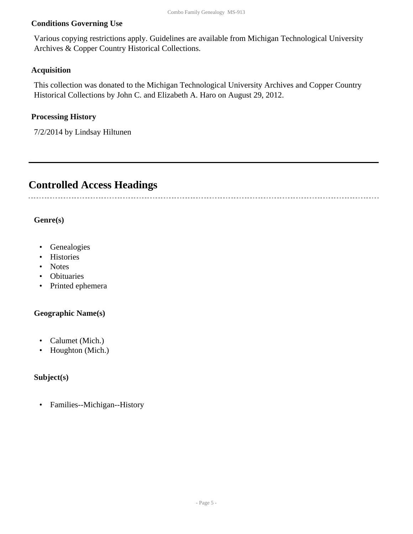#### **Conditions Governing Use**

Various copying restrictions apply. Guidelines are available from Michigan Technological University Archives & Copper Country Historical Collections.

#### **Acquisition**

This collection was donated to the Michigan Technological University Archives and Copper Country Historical Collections by John C. and Elizabeth A. Haro on August 29, 2012.

#### **Processing History**

7/2/2014 by Lindsay Hiltunen

## <span id="page-4-0"></span>**Controlled Access Headings**

#### **Genre(s)**

- Genealogies
- Histories
- Notes
- Obituaries
- Printed ephemera

#### **Geographic Name(s)**

- Calumet (Mich.)
- Houghton (Mich.)

#### **Subject(s)**

• Families--Michigan--History